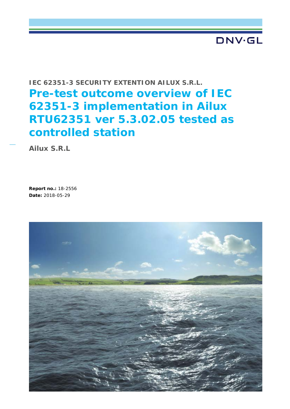# DNV·GL

# **IEC 62351-3 SECURITY EXTENTION AILUX S.R.L. Pre-test outcome overview of IEC 62351-3 implementation in Ailux RTU62351 ver 5.3.02.05 tested as controlled station**

**Ailux S.R.L**

**Report no.:** 18-2556 **Date:** 2018-05-29

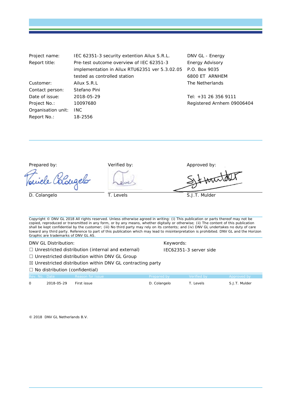| Project name:      | IEC 62351-3 security extention Ailux S.R.L.    | DNV GL - Energy            |
|--------------------|------------------------------------------------|----------------------------|
| Report title:      | Pre-test outcome overview of IEC 62351-3       | <b>Energy Advisory</b>     |
|                    | implementation in Ailux RTU62351 ver 5.3.02.05 | P.O. Box 9035              |
|                    | tested as controlled station                   | 6800 ET ARNHEM             |
| Customer:          | Ailux S.R.L                                    | The Netherlands            |
| Contact person:    | Stefano Pini                                   |                            |
| Date of issue:     | 2018-05-29                                     | Tel: +31 26 356 9111       |
| Project No.:       | 10097680                                       | Registered Arnhem 09006404 |
| Organisation unit: | INC.                                           |                            |
| Report No.:        | 18-2556                                        |                            |

Prepared by:  $V$ erified by: Approved by: Approved by:

le Colougelo

 $ATX$ 

D. Colangelo T. Levels T. Levels S.J.T. Mulder

Copyright © DNV GL 2018 All rights reserved. Unless otherwise agreed in writing: (i) This publication or parts thereof may not be copied, reproduced or transmitted in any form, or by any means, whether digitally or otherwise; (ii) The content of this publication shall be kept confidential by the customer; (iii) No third party may rely on its contents; and (iv) DNV GL undertakes no duty of care toward any third party. Reference to part of this publication which may lead to misinterpretation is prohibited. DNV GL and the Horizon Graphic are trademarks of DNV GL AS.

DNV GL Distribution: The Contract of the Contract of Contract Contract Contract Contract Contract Contract Contract Contract Contract Contract Contract Contract Contract Contract Contract Contract Contract Contract Contrac

□ Unrestricted distribution (internal and external) IEC62351-3 server side

☐ Unrestricted distribution within DNV GL Group

☒ Unrestricted distribution within DNV GL contracting party

#### □ No distribution (confidential)

| Rev. No. Date |            | Reason for Issue | Prepared by Verified by |           | <b>Example 2</b> Approved by |
|---------------|------------|------------------|-------------------------|-----------|------------------------------|
|               | 2018-05-29 | First issue      | D. Colangelo            | ™. Levels | S.J.T. Mulder                |

© 2018 DNV GL Netherlands B.V.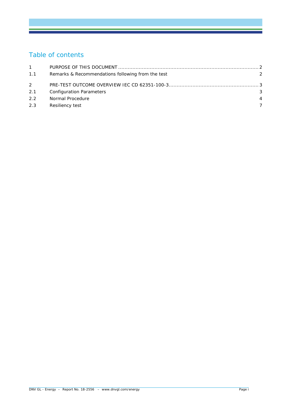# Table of contents

| 1.1 | Remarks & Recommendations following from the test | $\mathcal{P}$ |
|-----|---------------------------------------------------|---------------|
| 2   |                                                   |               |
| 2.1 | <b>Configuration Parameters</b>                   | 3             |
| 2.2 | Normal Procedure                                  | 4             |
| 2.3 | Resiliency test                                   |               |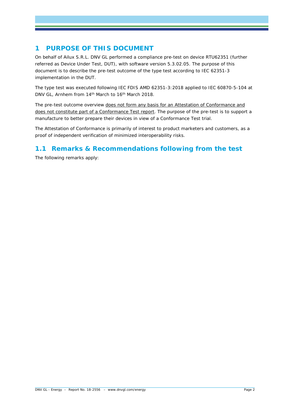## **1 PURPOSE OF THIS DOCUMENT**

On behalf of Ailux S.R.L. DNV GL performed a compliance pre-test on device RTU62351 (further referred as Device Under Test, DUT), with software version 5.3.02.05. The purpose of this document is to describe the pre-test outcome of the type test according to IEC 62351-3 implementation in the DUT.

The type test was executed following IEC FDIS AMD 62351-3:2018 applied to IEC 60870-5-104 at DNV GL, Arnhem from 14<sup>th</sup> March to 16<sup>th</sup> March 2018.

The pre-test outcome overview does not form any basis for an Attestation of Conformance and does not constitute part of a Conformance Test report. The purpose of the pre-test is to support a manufacture to better prepare their devices in view of a Conformance Test trial.

The Attestation of Conformance is primarily of interest to product marketers and customers, as a proof of independent verification of minimized interoperability risks.

### **1.1 Remarks & Recommendations following from the test**

The following remarks apply: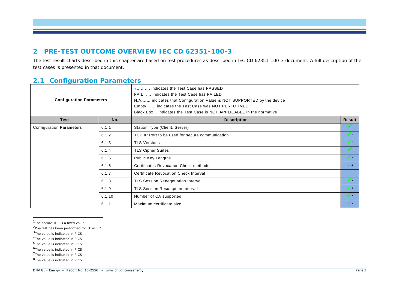#### <span id="page-4-7"></span><span id="page-4-6"></span><span id="page-4-5"></span><span id="page-4-4"></span><span id="page-4-3"></span><span id="page-4-2"></span><span id="page-4-1"></span><span id="page-4-0"></span>**2 PRE-TEST OUTCOME OVERVIEW IEC CD 62351-100-3**

The test result charts described in this chapter are based on test procedures as described in IEC CD 62351-100-3 document. A full description of the test cases is presented in that document.

#### **2.1 Configuration Parameters**

| <b>Configuration Parameters</b> |        | √ indicates the Test Case has PASSED<br>FAIL indicates the Test Case has FAILED<br>N.A indicates that Configuration Value is NOT SUPPORTED by the device<br>Empty indicates the Test Case was NOT PERFORMED<br>Black Box indicates the Test Case is NOT APPLICABLE in the normative |               |
|---------------------------------|--------|-------------------------------------------------------------------------------------------------------------------------------------------------------------------------------------------------------------------------------------------------------------------------------------|---------------|
| <b>Test</b>                     | No.    | <b>Description</b>                                                                                                                                                                                                                                                                  | <b>Result</b> |
| <b>Configuration Parameters</b> | 6.1.1  | Station Type (Client, Server)                                                                                                                                                                                                                                                       |               |
|                                 | 6.1.2  | TCP IP Port to be used for secure communication                                                                                                                                                                                                                                     | $\sqrt{1}$    |
|                                 | 6.1.3  | <b>TLS Versions</b>                                                                                                                                                                                                                                                                 | $\sqrt{2}$    |
|                                 | 6.1.4  | <b>TLS Cipher Suites</b>                                                                                                                                                                                                                                                            |               |
|                                 | 6.1.5  | Public Key Lengths                                                                                                                                                                                                                                                                  | $\sqrt{3}$    |
|                                 | 6.1.6  | <b>Certificates Revocation Check methods</b>                                                                                                                                                                                                                                        | $\sqrt{4}$    |
|                                 | 6.1.7  | <b>Certificate Revocation Check Interval</b>                                                                                                                                                                                                                                        |               |
|                                 | 6.1.8  | TLS Session Renegotiation Interval                                                                                                                                                                                                                                                  | $\sqrt{5}$    |
|                                 | 6.1.9  | <b>TLS Session Resumption Interval</b>                                                                                                                                                                                                                                              | $\sqrt{6}$    |
|                                 | 6.1.10 | Number of CA supported                                                                                                                                                                                                                                                              | $\sqrt{7}$    |
|                                 | 6.1.11 | Maximum certificate size                                                                                                                                                                                                                                                            | $\sqrt{8}$    |

<sup>1</sup>The secure TCP is a fixed value.

2Pre-test has been performed for TLSv 1.2

- 3The value is indicated in PICS
- 4The value is indicated in PICS
- 5The value is indicated in PICS
- 6The value is indicated in PICS
- 7The value is indicated in PICS
- 8The value is indicated in PICS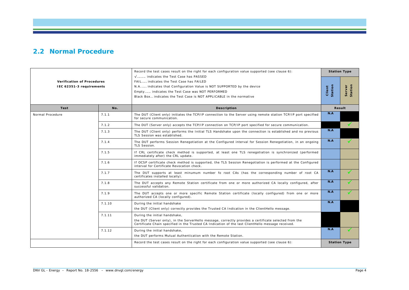#### **2.2 Normal Procedure**

|                                                               |        | Record the test cases result on the right for each configuration value supported (see clause 6):<br>V indicates the Test Case has PASSED                                                                                                    | <b>Station Type</b> |                   |
|---------------------------------------------------------------|--------|---------------------------------------------------------------------------------------------------------------------------------------------------------------------------------------------------------------------------------------------|---------------------|-------------------|
| <b>Verification of Procedures</b><br>IEC 62351-3 requirements |        | FAIL indicates the Test Case has FAILED<br>N.A indicates that Configuration Value is NOT SUPPORTED by the device<br>Empty indicates the Test Case was NOT PERFORMED<br>Black Box indicates the Test Case is NOT APPLICABLE in the normative | Client<br>Station   | Station<br>Server |
| Test                                                          | No.    | <b>Description</b>                                                                                                                                                                                                                          |                     | Result            |
| Normal Procedure                                              | 7.1.1  | The DUT (Client only) initiates the TCP/IP connection to the Server using remote station TCP/IP port specified<br>for secure communication.                                                                                                 | N.A                 |                   |
|                                                               | 7.1.2  | The DUT (Server only) accepts the TCP/IP connection on TCP/IP port specified for secure communication.                                                                                                                                      |                     | $\checkmark$      |
|                                                               | 7.1.3  | The DUT (Client only) performs the Initial TLS Handshake upon the connection is established and no previous<br>TLS Session was established.                                                                                                 | N.A                 |                   |
|                                                               | 7.1.4  | The DUT performs Session Renegotiation at the Configured interval for Session Renegotiation, in an ongoing<br>TLS Session.                                                                                                                  | N.A                 | $\checkmark$      |
|                                                               | 7.1.5  | If CRL certificate check method is supported, at least one TLS renegotiation is synchronized (performed<br>immediately after) the CRL update.                                                                                               |                     |                   |
|                                                               | 7.1.6  | If OCSP certificate check method is supported, the TLS Session Renegotiation is performed at the Configured<br>interval for Certificate Revocation check.                                                                                   |                     |                   |
|                                                               | 7.1.7  | The DUT supports at least minumum number fo root CAs (has the corresponding number of root CA<br>certificates installed locally).                                                                                                           | N.A                 | $\mathcal{L}$     |
|                                                               | 7.1.8  | The DUT accepts any Remote Station certificate from one or more authorized CA locally configured, after<br>successful validation.                                                                                                           | N.A                 |                   |
|                                                               | 7.1.9  | The DUT accepts one or more specific Remote Station certificate (locally configured) from one or more<br>authorized CA (locally configured).                                                                                                | N.A                 |                   |
|                                                               | 7.1.10 | During the initial handshake<br>the DUT (Client only) correctly provides the Trusted CA Indication in the ClientHello message.                                                                                                              | N.A                 |                   |
|                                                               | 7.1.11 | During the initial handshake,                                                                                                                                                                                                               |                     |                   |
|                                                               |        | the DUT (Server only), in the ServerHello message, correctly provides a certificate selected from the<br>Certificate Chain specified in the Trusted CA Indication of the last ClientHello message received.                                 |                     |                   |
|                                                               | 7.1.12 | During the initial handshake,                                                                                                                                                                                                               | N.A                 | $\checkmark$      |
|                                                               |        | the DUT performs Mutual Authentication with the Remote Station.                                                                                                                                                                             |                     |                   |
|                                                               |        | Record the test cases result on the right for each configuration value supported (see clause 6):                                                                                                                                            | <b>Station Type</b> |                   |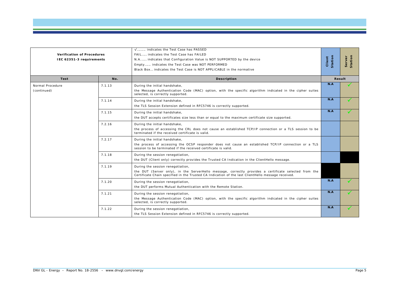| <b>Verification of Procedures</b><br>IEC 62351-3 requirements |        | V indicates the Test Case has PASSED<br>FAIL indicates the Test Case has FAILED<br>N.A indicates that Configuration Value is NOT SUPPORTED by the device<br>Empty indicates the Test Case was NOT PERFORMED<br>Black Box indicates the Test Case is NOT APPLICABLE in the normative | Station<br>Client | Station<br>Server |
|---------------------------------------------------------------|--------|-------------------------------------------------------------------------------------------------------------------------------------------------------------------------------------------------------------------------------------------------------------------------------------|-------------------|-------------------|
| Test                                                          | No.    | <b>Description</b>                                                                                                                                                                                                                                                                  |                   | Result            |
| Normal Procedure<br>(continued)                               | 7.1.13 | During the initial handshake,<br>the Message Authentication Code (MAC) option, with the specific algorithm indicated in the cipher suites<br>selected, is correctly supported.                                                                                                      | N.A               |                   |
|                                                               | 7.1.14 | During the initial handshake,<br>the TLS Session Extension defined in RFC5746 is correctly supported.                                                                                                                                                                               | N.A               | ✓                 |
|                                                               | 7.1.15 | During the initial handshake,<br>the DUT accepts certificates size less than or equal to the maximum certificate size supported.                                                                                                                                                    | N.A               | ✓                 |
|                                                               | 7.2.16 | During the initial handshake,<br>the process of accessing the CRL does not cause an established TCP/IP connection or a TLS session to be<br>terminated if the received certificate is valid.                                                                                        |                   |                   |
|                                                               | 7.2.17 | During the initial handshake,<br>the process of accessing the OCSP responder does not cause an established TCP/IP connection or a TLS<br>session to be terminated if the received certificate is valid.                                                                             |                   |                   |
|                                                               | 7.1.18 | During the session renegotiation,<br>the DUT (Client only) correctly provides the Trusted CA Indication in the ClientHello message.                                                                                                                                                 |                   |                   |
|                                                               | 7.1.19 | During the session renegotiation,<br>the DUT (Server only), in the ServerHello message, correctly provides a certificate selected from the<br>Certificate Chain specified in the Trusted CA Indication of the last ClientHello message received.                                    |                   |                   |
|                                                               | 7.1.20 | During the session renegotiation,<br>the DUT performs Mutual Authentication with the Remote Station.                                                                                                                                                                                | N.A               | ✓                 |
|                                                               | 7.1.21 | During the session renegotiation,<br>the Message Authentication Code (MAC) option, with the specific algorithm indicated in the cipher suites<br>selected, is correctly supported.                                                                                                  | N.A               |                   |
|                                                               | 7.1.22 | During the session renegotiation,<br>the TLS Session Extension defined in RFC5746 is correctly supported.                                                                                                                                                                           | N.A               |                   |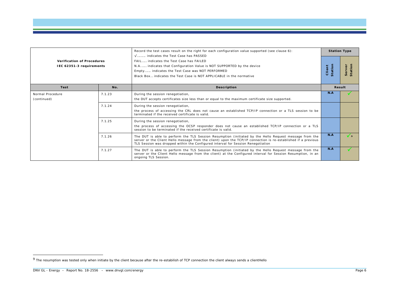<span id="page-7-0"></span>

|                                                               |        | Record the test cases result on the right for each configuration value supported (see clause 6):                                                                                                                                                                                                             |                   | <b>Station Type</b> |
|---------------------------------------------------------------|--------|--------------------------------------------------------------------------------------------------------------------------------------------------------------------------------------------------------------------------------------------------------------------------------------------------------------|-------------------|---------------------|
| <b>Verification of Procedures</b><br>IEC 62351-3 requirements |        | V indicates the Test Case has PASSED<br>FAIL indicates the Test Case has FAILED<br>N.A indicates that Configuration Value is NOT SUPPORTED by the device<br>Empty indicates the Test Case was NOT PERFORMED<br>Black Box indicates the Test Case is NOT APPLICABLE in the normative                          | Station<br>Client | Station<br>Server   |
| <b>Test</b>                                                   | No.    | <b>Description</b>                                                                                                                                                                                                                                                                                           |                   | <b>Result</b>       |
| Normal Procedure<br>(continued)                               | 7.1.23 | During the session renegotiation,<br>the DUT accepts certificates size less than or equal to the maximum certificate size supported.                                                                                                                                                                         | N.A               |                     |
|                                                               | 7.1.24 | During the session renegotiation,<br>the process of accessing the CRL does not cause an established TCP/IP connection or a TLS session to be<br>terminated if the received certificate is valid.                                                                                                             |                   |                     |
|                                                               | 7.1.25 | During the session renegotiation,<br>the process of accessing the OCSP responder does not cause an established TCP/IP connection or a TLS<br>session to be terminated if the received certificate is valid.                                                                                                  |                   |                     |
|                                                               | 7.1.26 | The DUT is able to perform the TLS Session Resumption (initiated by the Hello Request message from the<br>server or the Client Hello message from the client) upon the TCP/IP connection is re-established if a previous<br>TLS Session was dropped within the Configured interval for Session Renegotiation | N.A               | $\sqrt{2}$          |
|                                                               | 7.1.27 | The DUT is able to perform the TLS Session Resumption (initiated by the Hello Request message from the<br>server or the Client Hello message from the client) at the Configured interval for Session Resumption, in an<br>ongoing TLS Session.                                                               | N.A               |                     |

 $9$  The resumption was tested only when initiate by the client because after the re-estabilish of TCP connection the client always sends a clientHello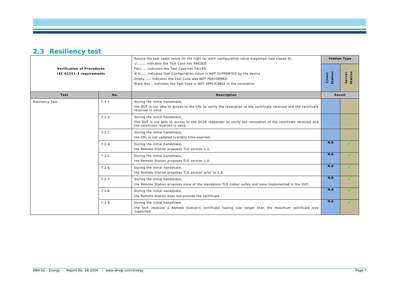# **2.3 Resiliency test**

|                                                               |       | Record the test cases result on the right for each configuration value supported (see clause 6):<br>V indicates the Test Case has PASSED                                                                                                    |                   | <b>Station Type</b> |
|---------------------------------------------------------------|-------|---------------------------------------------------------------------------------------------------------------------------------------------------------------------------------------------------------------------------------------------|-------------------|---------------------|
| <b>Verification of Procedures</b><br>IEC 62351-3 requirements |       | FAIL indicates the Test Case has FAILED<br>N.A indicates that Configuration Value is NOT SUPPORTED by the device<br>Empty indicates the Test Case was NOT PERFORMED<br>Black Box indicates the Test Case is NOT APPLICABLE in the normative | Station<br>Client | Station<br>Server   |
| Test                                                          | No.   | <b>Description</b>                                                                                                                                                                                                                          |                   | Result              |
| <b>Resiliency Test</b>                                        | 7.2.1 | During the initial handshake,<br>the DUT is not able to access to the CRL to verify the revocation of the certificate received and the certificate<br>received is valid.                                                                    |                   |                     |
|                                                               | 7.2.2 | During the initial handshake,<br>The DUT is not able to access to the OCSP responder to verify the revocation of the certificate received and<br>the certificate received is valid.                                                         |                   |                     |
|                                                               | 7.2.3 | During the initial handshake,<br>the CRL is not updated (validity time expired).                                                                                                                                                            |                   |                     |
|                                                               | 7.2.4 | During the initial handshake,<br>the Remote Station proposes TLS version 1.1.                                                                                                                                                               | N.A               |                     |
|                                                               | 7.2.5 | During the initial handshake,<br>the Remote Station proposes TLS version 1.0.                                                                                                                                                               | N.A               |                     |
|                                                               | 7.2.6 | During the initial handshake,<br>the Remote Station proposes TLS version prior to 1.0.                                                                                                                                                      | N.A               |                     |
|                                                               | 7.2.7 | During the initial handshake,<br>the Remote Station proposes none of the mandatory TLS cipher suites and none implemented in the DUT.                                                                                                       | N.A               | $\checkmark$        |
|                                                               | 7.2.8 | During the initial handshake,<br>the Remote Station does not provide the certificate                                                                                                                                                        | N.A               |                     |
|                                                               | 7.2.9 | During the initial handshake,<br>the DUT receives a Remote Station's certificate having size longer than the maximum certificate size<br>supported                                                                                          | N.A               |                     |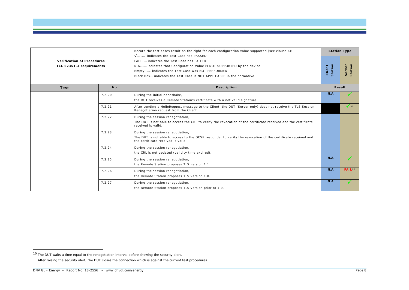<span id="page-9-1"></span><span id="page-9-0"></span>

| <b>Verification of Procedures</b><br>IEC 62351-3 requirements |        | Record the test cases result on the right for each configuration value supported (see clause 6):                                                                                                                                                                                    |                   | <b>Station Type</b> |
|---------------------------------------------------------------|--------|-------------------------------------------------------------------------------------------------------------------------------------------------------------------------------------------------------------------------------------------------------------------------------------|-------------------|---------------------|
|                                                               |        | V indicates the Test Case has PASSED<br>FAIL indicates the Test Case has FAILED<br>N.A indicates that Configuration Value is NOT SUPPORTED by the device<br>Empty indicates the Test Case was NOT PERFORMED<br>Black Box indicates the Test Case is NOT APPLICABLE in the normative | Station<br>Client | Station<br>Server   |
| <b>Test</b>                                                   | No.    | <b>Description</b>                                                                                                                                                                                                                                                                  |                   | Result              |
|                                                               | 7.2.20 | During the initial handshake,<br>the DUT receives a Remote Station's certificate with a not valid signature.                                                                                                                                                                        | N.A               |                     |
|                                                               | 7.2.21 | After sending a HelloRequest message to the Client, the DUT (Server only) does not receive the TLS Session<br>Renegotiation request from the Client.                                                                                                                                |                   | $\sqrt{10}$         |
|                                                               | 7.2.22 | During the session renegotiation,<br>The DUT is not able to access the CRL to verify the revocation of the certificate received and the certificate<br>received is valid.                                                                                                           |                   |                     |
|                                                               | 7.2.23 | During the session renegotiation,<br>The DUT is not able to access to the OCSP responder to verify the revocation of the certificate received and<br>the certificate received is valid.                                                                                             |                   |                     |
|                                                               | 7.2.24 | During the session renegotiation,<br>the CRL is not updated (validity time expired).                                                                                                                                                                                                |                   |                     |
|                                                               | 7.2.25 | During the session renegotiation,<br>the Remote Station proposes TLS version 1.1.                                                                                                                                                                                                   | N.A               |                     |
|                                                               | 7.2.26 | During the session renegotiation,<br>the Remote Station proposes TLS version 1.0.                                                                                                                                                                                                   | N.A               | FAIL <sup>11</sup>  |
|                                                               | 7.2.27 | During the session renegotiation,<br>the Remote Station proposes TLS version prior to 1.0.                                                                                                                                                                                          | N.A               |                     |

<sup>10</sup> The DUT waits a time equal to the renegotiation interval before showing the security alert.

 $11$  After raising the security alert, the DUT closes the connection which is against the current test procedures.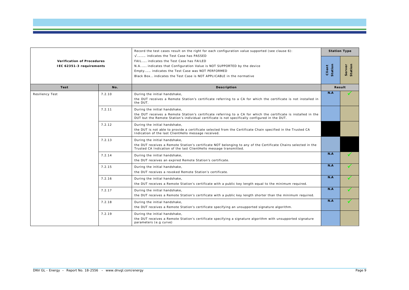|                                                               |        | Record the test cases result on the right for each configuration value supported (see clause 6):<br>$\sqrt{$ indicates the Test Case has PASSED                                                                                                    |                   | <b>Station Type</b> |
|---------------------------------------------------------------|--------|----------------------------------------------------------------------------------------------------------------------------------------------------------------------------------------------------------------------------------------------------|-------------------|---------------------|
| <b>Verification of Procedures</b><br>IEC 62351-3 requirements |        | FAIL indicates the Test Case has FAILED<br>N.A indicates that Configuration Value is NOT SUPPORTED by the device<br>Empty indicates the Test Case was NOT PERFORMED<br>Black Box indicates the Test Case is NOT APPLICABLE in the normative        | Station<br>Client | Station<br>Server   |
| <b>Test</b>                                                   | No.    | <b>Description</b>                                                                                                                                                                                                                                 |                   | Result              |
| <b>Resiliency Test</b>                                        | 7.2.10 | During the initial handshake,<br>the DUT receives a Remote Station's certificate referring to a CA for which the certificate is not installed in<br>the DUT.                                                                                       | N.A               |                     |
|                                                               | 7.2.11 | During the initial handshake,<br>the DUT receives a Remote Station's certificate referring to a CA for which the certificate is installed in the<br>DUT but the Remote Station's individual certificate is not specifically configured in the DUT. |                   |                     |
|                                                               | 7.2.12 | During the initial handshake,<br>the DUT is not able to provide a certificate selected from the Certificate Chain specified in the Trusted CA<br>Indication of the last ClientHello message received.                                              |                   |                     |
|                                                               | 7.2.13 | During the initial handshake,<br>the DUT receives a Remote Station's certificate NOT belonging to any of the Certificate Chains selected in the<br>Trusted CA Indication of the last ClientHello message transmitted.                              |                   |                     |
|                                                               | 7.2.14 | During the initial handshake,<br>the DUT receives an expired Remote Station's certificate.                                                                                                                                                         | N.A               | $\sqrt{}$           |
|                                                               | 7.2.15 | During the initial handshake,<br>the DUT receives a revoked Remote Station's certificate.                                                                                                                                                          | N.A               |                     |
|                                                               | 7.2.16 | During the initial handshake,<br>the DUT receives a Remote Station's certificate with a public key length equal to the minimum required.                                                                                                           | N.A               | $\checkmark$        |
|                                                               | 7.2.17 | During the initial handshake,<br>the DUT receives a Remote Station's certificate with a public key length shorter than the minimum required.                                                                                                       | N.A               | √                   |
|                                                               | 7.2.18 | During the initial handshake,<br>the DUT receives a Remote Station's certificate specifying an unsupported signature algorithm.                                                                                                                    | N.A               | ✓                   |
|                                                               | 7.2.19 | During the initial handshake,<br>the DUT receives a Remote Station's certificate specifying a signature algorithm with unsupported signature<br>parameters (e.g curve)                                                                             |                   |                     |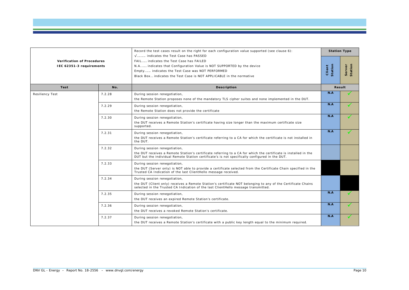| <b>Verification of Procedures</b><br>IEC 62351-3 requirements |        | Record the test cases result on the right for each configuration value supported (see clause 6):<br>V indicates the Test Case has PASSED                                                                                                           |                   | <b>Station Type</b> |
|---------------------------------------------------------------|--------|----------------------------------------------------------------------------------------------------------------------------------------------------------------------------------------------------------------------------------------------------|-------------------|---------------------|
|                                                               |        | FAIL indicates the Test Case has FAILED<br>N.A indicates that Configuration Value is NOT SUPPORTED by the device<br>Empty indicates the Test Case was NOT PERFORMED<br>Black Box indicates the Test Case is NOT APPLICABLE in the normative        | Station<br>Client | Station<br>Server   |
| Test                                                          | No.    | <b>Description</b>                                                                                                                                                                                                                                 |                   | Result              |
| <b>Resiliency Test</b>                                        | 7.2.28 | During session renegotiation,<br>the Remote Station proposes none of the mandatory TLS cipher suites and none implemented in the DUT.                                                                                                              | N.A               |                     |
|                                                               | 7.2.29 | During session renegotiation,<br>the Remote Station does not provide the certificate                                                                                                                                                               | N.A               |                     |
|                                                               | 7.2.30 | During session renegotiation,<br>the DUT receives a Remote Station's certificate having size longer than the maximum certificate size<br>supported.                                                                                                | N.A               |                     |
|                                                               | 7.2.31 | During session renegotiation,<br>the DUT receives a Remote Station's certificate referring to a CA for which the certificate is not installed in<br>the DUT.                                                                                       | N.A               | ✓                   |
|                                                               | 7.2.32 | During session renegotiation,<br>the DUT receives a Remote Station's certificate referring to a CA for which the certificate is installed in the<br>DUT but the individual Remote Station certificate's is not specifically configured in the DUT. |                   |                     |
|                                                               | 7.2.33 | During session renegotiation,<br>the DUT (Server only) is NOT able to provide a certificate selected from the Certificate Chain specified in the<br>Trusted CA Indication of the last ClientHello message received.                                |                   |                     |
|                                                               | 7.2.34 | During session renegotiation,<br>the DUT (Client only) receives a Remote Station's certificate NOT belonging to any of the Certificate Chains<br>selected in the Trusted CA Indication of the last ClientHello message transmitted.                |                   |                     |
|                                                               | 7.2.35 | During session renegotiation,<br>the DUT receives an expired Remote Station's certificate.                                                                                                                                                         | N.A               | ✓                   |
|                                                               | 7.2.36 | During session renegotiation,<br>the DUT receives a revoked Remote Station's certificate.                                                                                                                                                          | N.A               |                     |
|                                                               | 7.2.37 | During session renegotiation,<br>the DUT receives a Remote Station's certificate with a public key length equal to the minimum required.                                                                                                           | N.A               |                     |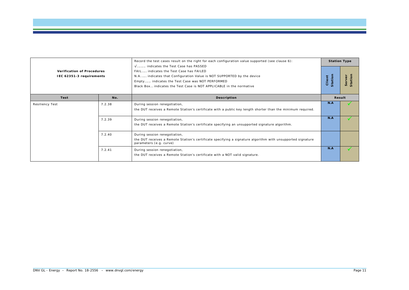|                                                               |        | Record the test cases result on the right for each configuration value supported (see clause 6):<br>V indicates the Test Case has PASSED                                                                                                    |                   | <b>Station Type</b> |
|---------------------------------------------------------------|--------|---------------------------------------------------------------------------------------------------------------------------------------------------------------------------------------------------------------------------------------------|-------------------|---------------------|
| <b>Verification of Procedures</b><br>IEC 62351-3 requirements |        | FAIL indicates the Test Case has FAILED<br>N.A indicates that Configuration Value is NOT SUPPORTED by the device<br>Empty indicates the Test Case was NOT PERFORMED<br>Black Box indicates the Test Case is NOT APPLICABLE in the normative | Client<br>Station |                     |
| Test                                                          | No.    | <b>Description</b>                                                                                                                                                                                                                          |                   | Result              |
| <b>Resiliency Test</b>                                        | 7.2.38 | During session renegotiation,<br>the DUT receives a Remote Station's certificate with a public key length shorter than the minimum required.                                                                                                | N.A               |                     |
|                                                               | 7.2.39 | During session renegotiation,<br>the DUT receives a Remote Station's certificate specifying an unsupported signature algorithm.                                                                                                             | N.A               |                     |
|                                                               | 7.2.40 | During session renegotiation,<br>the DUT receives a Remote Station's certificate specifying a signature algorithm with unsupported signature<br>parameters (e.g. curve)                                                                     |                   |                     |
|                                                               | 7.2.41 | During session renegotiation,<br>the DUT receives a Remote Station's certificate with a NOT valid signature.                                                                                                                                | N.A               |                     |